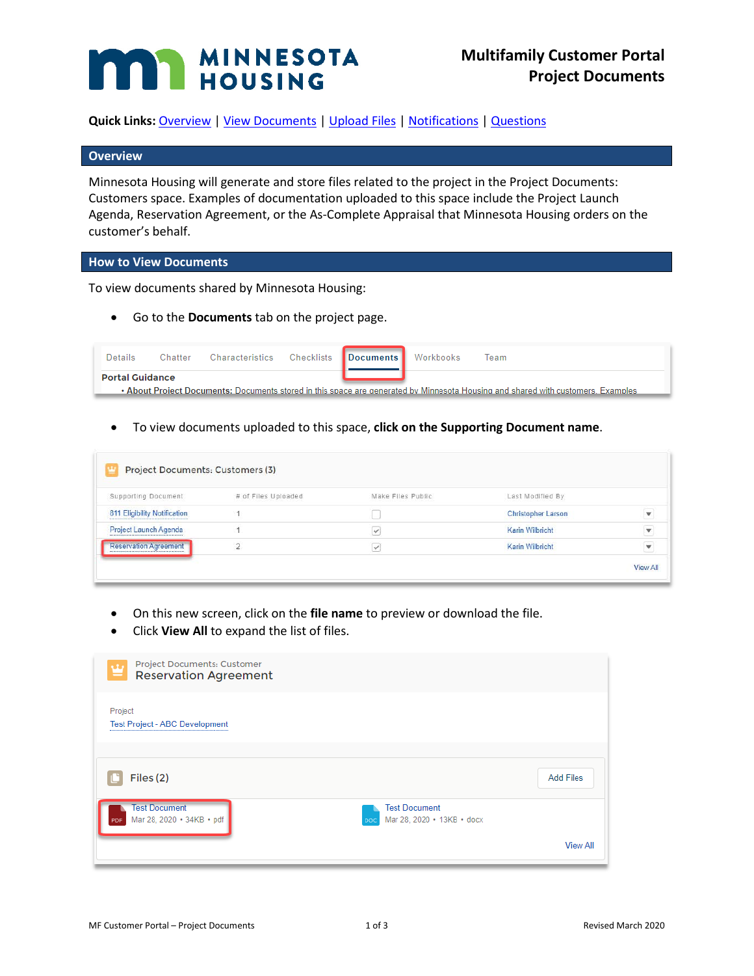# **MAN MINNESOTA**

**Quick Links:** [Overview](#page-0-0) | [View Documents](#page-0-1) | [Upload Files](#page-1-0) [| Notifications](#page-2-0) | [Questions](#page-2-1)

#### <span id="page-0-0"></span>**Overview**

Minnesota Housing will generate and store files related to the project in the Project Documents: Customers space. Examples of documentation uploaded to this space include the Project Launch Agenda, Reservation Agreement, or the As-Complete Appraisal that Minnesota Housing orders on the customer's behalf.

#### <span id="page-0-1"></span>**How to View Documents**

To view documents shared by Minnesota Housing:

• Go to the **Documents** tab on the project page.

| <b>Portal Guidance</b>                                                                                                           | Details | Chatter | Characteristics Checklists Documents Workbooks |  | Team |
|----------------------------------------------------------------------------------------------------------------------------------|---------|---------|------------------------------------------------|--|------|
| • About Project Documents: Documents stored in this space are generated by Minnesota Housing and shared with customers. Examples |         |         |                                                |  |      |

• To view documents uploaded to this space, **click on the Supporting Document name**.

| Supporting Document          | # of Files Uploaded | Make Files Public | Last Modified By          |                         |
|------------------------------|---------------------|-------------------|---------------------------|-------------------------|
|                              |                     |                   |                           |                         |
| 811 Eligibility Notification |                     |                   | <b>Christopher Larson</b> |                         |
| Project Launch Agenda        |                     | $\checkmark$      | Karin Wilbricht           | $\overline{\mathbf{v}}$ |
| <b>Reservation Agreement</b> | $\overline{2}$      | V                 | Karin Wilbricht           | ۳                       |

- On this new screen, click on the **file name** to preview or download the file.
- Click **View All** to expand the list of files.

| Project Documents: Customer<br>w<br><b>Reservation Agreement</b><br>=                                                 |                  |
|-----------------------------------------------------------------------------------------------------------------------|------------------|
| Project<br><b>Test Project - ABC Development</b>                                                                      |                  |
| Files (2)                                                                                                             | <b>Add Files</b> |
| <b>Test Document</b><br><b>Test Document</b><br>Mar 28, 2020 · 34KB · pdf<br>Mar 28, 2020 • 13KB • docx<br>PDF<br>DOC |                  |
|                                                                                                                       | <b>View All</b>  |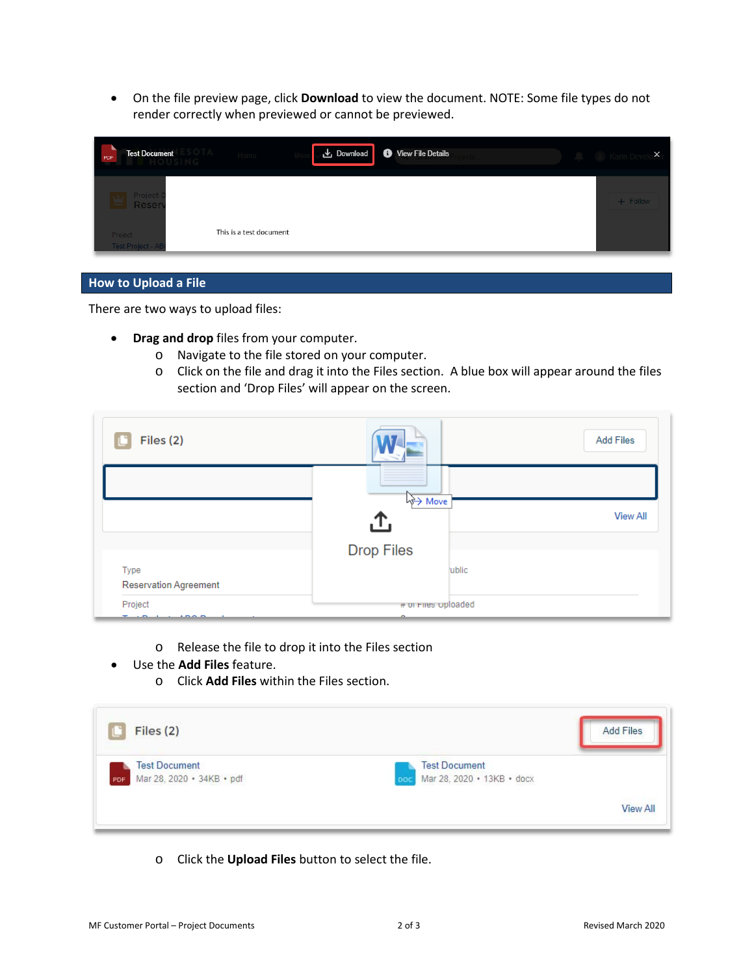• On the file preview page, click **Download** to view the document. NOTE: Some file types do not render correctly when previewed or cannot be previewed.

| <b>Test Document</b><br>PDF         | ▲ Download ● View File Details | $\times$<br>Karin De |
|-------------------------------------|--------------------------------|----------------------|
| Project<br>Reser                    |                                | + Follow             |
| Project<br><b>Test Project - AB</b> | This is a test document        |                      |

#### <span id="page-1-0"></span>**How to Upload a File**

There are two ways to upload files:

- **Drag and drop** files from your computer.
	- o Navigate to the file stored on your computer.
	- o Click on the file and drag it into the Files section. A blue box will appear around the files section and 'Drop Files' will appear on the screen.

| Files (2)                    |                          | <b>Add Files</b> |
|------------------------------|--------------------------|------------------|
|                              | way Move                 |                  |
|                              | .ጉ.                      | <b>View All</b>  |
|                              | <b>Drop Files</b>        |                  |
| Type                         | ublic                    |                  |
| <b>Reservation Agreement</b> |                          |                  |
| Project<br>$\overline{1}$    | # or Fires oploaded<br>- |                  |

- o Release the file to drop it into the Files section
- Use the **Add Files** feature.
	- o Click **Add Files** within the Files section.

| Files (2)                                                | <b>Add Files</b>                                          |
|----------------------------------------------------------|-----------------------------------------------------------|
| <b>Test Document</b><br>Mar 28, 2020 · 34KB · pdf<br>PDF | <b>Test Document</b><br>Mar 28, 2020 • 13KB • docx<br>DOC |
|                                                          | <b>View All</b>                                           |

o Click the **Upload Files** button to select the file.